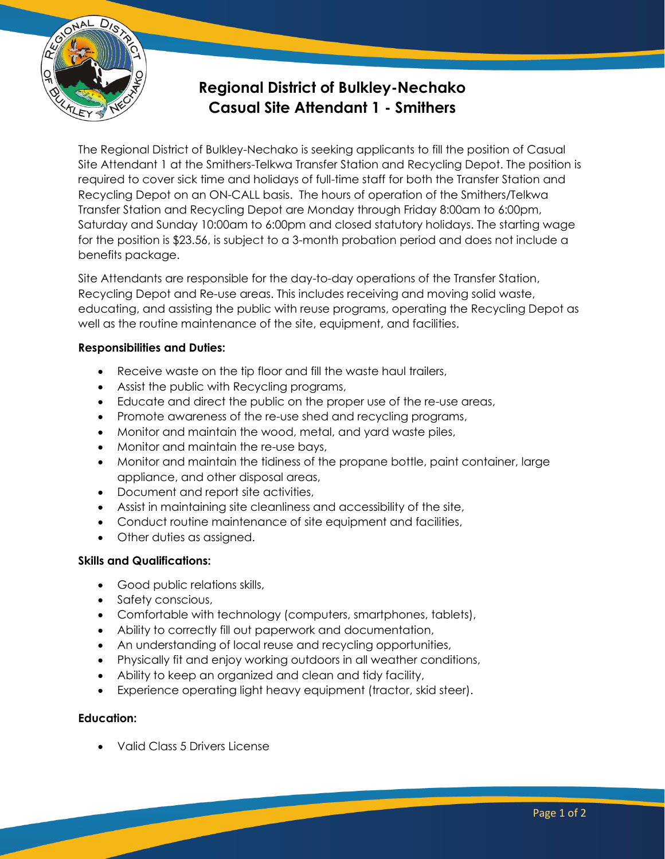

# **Regional District of Bulkley-Nechako Casual Site Attendant 1 - Smithers**

The Regional District of Bulkley-Nechako is seeking applicants to fill the position of Casual Site Attendant 1 at the Smithers-Telkwa Transfer Station and Recycling Depot. The position is required to cover sick time and holidays of full-time staff for both the Transfer Station and Recycling Depot on an ON-CALL basis. The hours of operation of the Smithers/Telkwa Transfer Station and Recycling Depot are Monday through Friday 8:00am to 6:00pm, Saturday and Sunday 10:00am to 6:00pm and closed statutory holidays. The starting wage for the position is \$23.56, is subject to a 3-month probation period and does not include a benefits package.

Site Attendants are responsible for the day-to-day operations of the Transfer Station, Recycling Depot and Re-use areas. This includes receiving and moving solid waste, educating, and assisting the public with reuse programs, operating the Recycling Depot as well as the routine maintenance of the site, equipment, and facilities.

### **Responsibilities and Duties:**

- Receive waste on the tip floor and fill the waste haul trailers,
- Assist the public with Recycling programs,
- Educate and direct the public on the proper use of the re-use areas,
- Promote awareness of the re-use shed and recycling programs,
- Monitor and maintain the wood, metal, and yard waste piles,
- Monitor and maintain the re-use bays,
- Monitor and maintain the tidiness of the propane bottle, paint container, large appliance, and other disposal areas,
- Document and report site activities,
- Assist in maintaining site cleanliness and accessibility of the site,
- Conduct routine maintenance of site equipment and facilities,
- Other duties as assigned.

### **Skills and Qualifications:**

- Good public relations skills,
- Safety conscious,
- Comfortable with technology (computers, smartphones, tablets),
- Ability to correctly fill out paperwork and documentation,
- An understanding of local reuse and recycling opportunities,
- Physically fit and enjoy working outdoors in all weather conditions,
- Ability to keep an organized and clean and tidy facility,
- Experience operating light heavy equipment (tractor, skid steer).

### **Education:**

• Valid Class 5 Drivers License